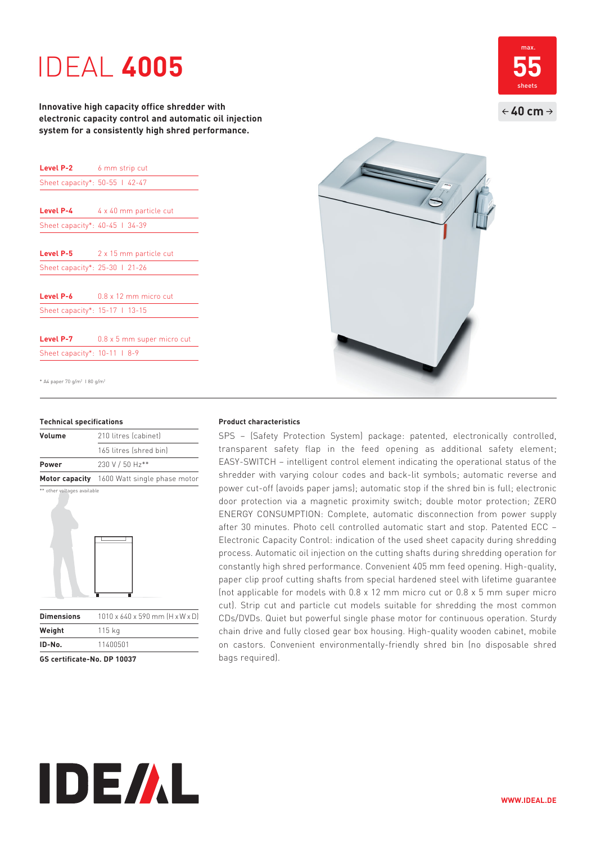# IDEAL **4005**

**Innovative high capacity office shredder with electronic capacity control and automatic oil injection system for a consistently high shred performance.**

| Level P-2                      | 6 mm strip cut               |
|--------------------------------|------------------------------|
| Sheet capacity*: 50-55   42-47 |                              |
|                                |                              |
| Level P-4                      | 4 x 40 mm particle cut       |
| Sheet capacity*: 40-45   34-39 |                              |
|                                |                              |
| <b>Level P-5</b>               | 2 x 15 mm particle cut       |
| Sheet capacity*: 25-30   21-26 |                              |
|                                |                              |
| Level P-6                      | $0.8 \times 12$ mm micro cut |
| Sheet capacity*: 15-17 1 13-15 |                              |
|                                |                              |
| Level P-7                      | 0.8 x 5 mm super micro cut   |
| Sheet capacity*: 10-11   8-9   |                              |

\* A4 paper 70 g/m2 I 80 g/m2

### **Technical specifications**

| Volume                      | 210 litres (cabinet)                        |
|-----------------------------|---------------------------------------------|
|                             | 165 litres (shred bin)                      |
| <b>Power</b>                | 230 V / 50 Hz**                             |
|                             | Motor capacity 1600 Watt single phase motor |
| ** other voltages available |                                             |



| Dimensions | 1010 x 640 x 590 mm (H x W x D) |
|------------|---------------------------------|
| Weight     | 115 kg                          |
| ID-No.     | 11400501                        |
|            |                                 |

**IDE/AL** 

**GS certificate-No. DP 10037**



SPS – (Safety Protection System) package: patented, electronically controlled, transparent safety flap in the feed opening as additional safety element; EASY-SWITCH – intelligent control element indicating the operational status of the shredder with varying colour codes and back-lit symbols; automatic reverse and power cut-off (avoids paper jams); automatic stop if the shred bin is full; electronic door protection via a magnetic proximity switch; double motor protection; ZERO ENERGY CONSUMPTION: Complete, automatic disconnection from power supply after 30 minutes. Photo cell controlled automatic start and stop. Patented ECC – Electronic Capacity Control: indication of the used sheet capacity during shredding process. Automatic oil injection on the cutting shafts during shredding operation for constantly high shred performance. Convenient 405 mm feed opening. High-quality, paper clip proof cutting shafts from special hardened steel with lifetime guarantee (not applicable for models with 0.8 x 12 mm micro cut or 0.8 x 5 mm super micro cut). Strip cut and particle cut models suitable for shredding the most common CDs/DVDs. Quiet but powerful single phase motor for continuous operation. Sturdy chain drive and fully closed gear box housing. High- quality wooden cabinet, mobile on castors. Convenient environmentally-friendly shred bin (no disposable shred bags required).



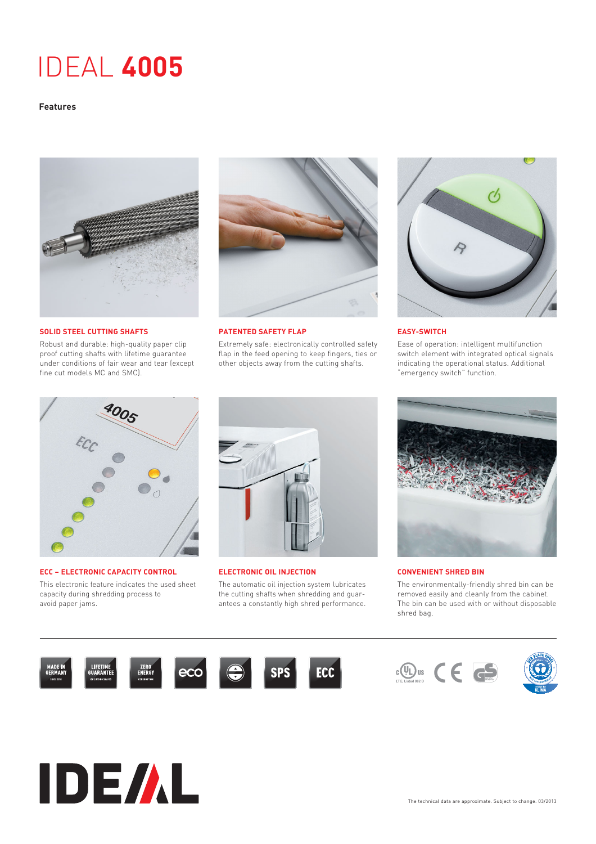# IDEAL **4005**

## **Features**



**SOLID STEEL CUTTING SHAFTS**

Robust and durable: high-quality paper clip proof cutting shafts with lifetime guarantee under conditions of fair wear and tear (except fine cut models MC and SMC).



**PATENTED SAFETY FLAP**

Extremely safe: electronically controlled safety flap in the feed opening to keep fingers, ties or other objects away from the cutting shafts.



### **EASY-SWITCH**

Ease of operation: intelligent multifunction switch element with integrated optical signals indicating the operational status. Additional "emergency switch" function.



**ECC – ELECTRONIC CAPACITY CONTROL** This electronic feature indicates the used sheet capacity during shredding process to avoid paper jams.

**IDE/AL** 



**ELECTRONIC OIL INJECTION** 

The automatic oil injection system lubricates the cutting shafts when shredding and guarantees a constantly high shred performance.



#### **CONVENIENT SHRED BIN**

The environmentally-friendly shred bin can be removed easily and cleanly from the cabinet. The bin can be used with or without disposable shred bag.